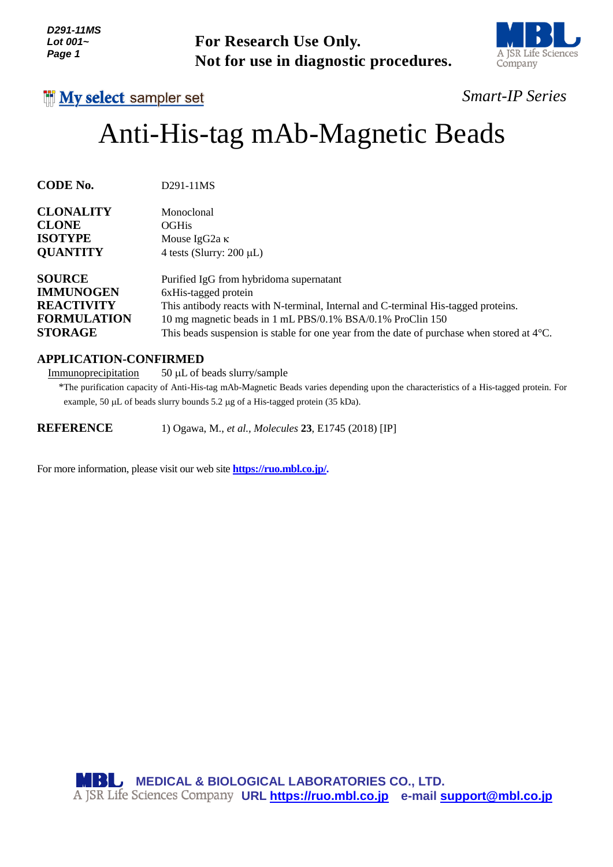| D291-11MS      |
|----------------|
| Lot 001 $\sim$ |
| Page 1         |

**For Research Use Only. Not for use in diagnostic procedures.**



## **My select sampler set**

## *Smart-IP Series*

# Anti-His-tag mAb-Magnetic Beads

**CODE No.** D291-11MS

| <b>CLONALITY</b>   | Monoclonal                                                                                           |
|--------------------|------------------------------------------------------------------------------------------------------|
| <b>CLONE</b>       | <b>OGHis</b>                                                                                         |
| <b>ISOTYPE</b>     | Mouse IgG2a $\kappa$                                                                                 |
| <b>QUANTITY</b>    | 4 tests (Slurry: $200 \mu L$ )                                                                       |
| <b>SOURCE</b>      | Purified IgG from hybridoma supernatant                                                              |
| <b>IMMUNOGEN</b>   | 6xHis-tagged protein                                                                                 |
| <b>REACTIVITY</b>  | This antibody reacts with N-terminal, Internal and C-terminal His-tagged proteins.                   |
| <b>FORMULATION</b> | 10 mg magnetic beads in 1 mL PBS/0.1% BSA/0.1% ProClin 150                                           |
| <b>STORAGE</b>     | This beads suspension is stable for one year from the date of purchase when stored at $4^{\circ}$ C. |

### **APPLICATION-CONFIRMED**

 $Immunoprecipitation 50  $\mu$  of beads slury/sample$ </u>

\*The purification capacity of Anti-His-tag mAb-Magnetic Beads varies depending upon the characteristics of a His-tagged protein. For example, 50  $\mu$ L of beads slurry bounds 5.2  $\mu$ g of a His-tagged protein (35 kDa).

**REFERENCE** 1) Ogawa, M., *et al., Molecules* **23**, E1745 (2018) [IP]

For more information, please visit our web site **[https://ruo.mbl.co.jp/.](https://ruo.mbl.co.jp/)**